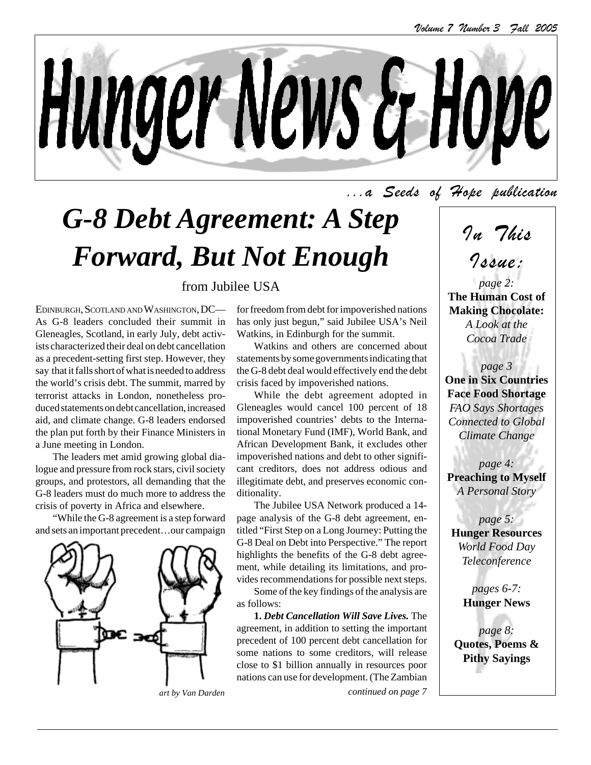

...a Seeds of Hope publication

# *G-8 Debt Agreement: A Step Forward, But Not Enough*

#### from Jubilee USA

EDINBURGH, SCOTLAND AND WASHINGTON, DC— As G-8 leaders concluded their summit in Gleneagles, Scotland, in early July, debt activists characterized their deal on debt cancellation as a precedent-setting first step. However, they say that it falls short of what is needed to address the world's crisis debt. The summit, marred by terrorist attacks in London, nonetheless produced statements on debt cancellation, increased aid, and climate change. G-8 leaders endorsed the plan put forth by their Finance Ministers in a June meeting in London.

The leaders met amid growing global dialogue and pressure from rock stars, civil society groups, and protestors, all demanding that the G-8 leaders must do much more to address the crisis of poverty in Africa and elsewhere.

"While the G-8 agreement is a step forward and sets an important precedent…our campaign



*art by Van Darden continued on page 7*

for freedom from debt for impoverished nations has only just begun," said Jubilee USA's Neil Watkins, in Edinburgh for the summit.

Watkins and others are concerned about statements by some governments indicating that the G-8 debt deal would effectively end the debt crisis faced by impoverished nations.

While the debt agreement adopted in Gleneagles would cancel 100 percent of 18 impoverished countries' debts to the International Monetary Fund (IMF), World Bank, and African Development Bank, it excludes other impoverished nations and debt to other significant creditors, does not address odious and illegitimate debt, and preserves economic conditionality.

The Jubilee USA Network produced a 14 page analysis of the G-8 debt agreement, entitled "First Step on a Long Journey: Putting the G-8 Deal on Debt into Perspective." The report highlights the benefits of the G-8 debt agreement, while detailing its limitations, and provides recommendations for possible next steps.

Some of the key findings of the analysis are as follows:

**1.** *Debt Cancellation Will Save Lives.* The agreement, in addition to setting the important precedent of 100 percent debt cancellation for some nations to some creditors, will release close to \$1 billion annually in resources poor nations can use for development. (The Zambian In This

Issue:

*page 2:* **The Human Cost of Making Chocolate:** *A Look at the Cocoa Trade*

*page 3* **One in Six Countries Face Food Shortage** *FAO Says Shortages Connected to Global Climate Change*

*page 4:* **Preaching to Myself** *A Personal Story*

*page 5:* **Hunger Resources** *World Food Day Teleconference*

> *pages 6-7:* **Hunger News**

*page 8:* **Quotes, Poems & Pithy Sayings**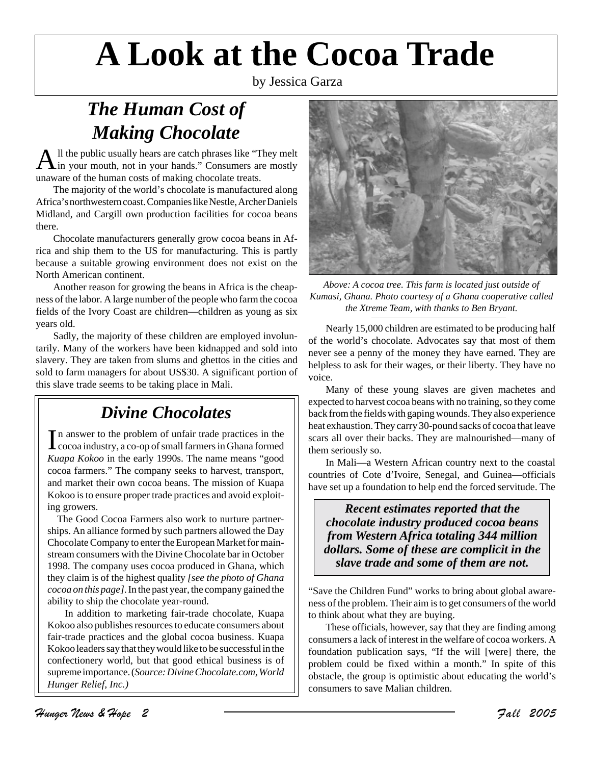# **A Look at the Cocoa Trade**

by Jessica Garza

## *The Human Cost of Making Chocolate*

 $A$ <sup>ll the</sup> public usually hears are catch phrases like "They melt" in your mouth, not in your hands." Consumers are mostly unaware of the human costs of making chocolate treats.

The majority of the world's chocolate is manufactured along Africa's northwestern coast. Companies like Nestle, Archer Daniels Midland, and Cargill own production facilities for cocoa beans there.

Chocolate manufacturers generally grow cocoa beans in Africa and ship them to the US for manufacturing. This is partly because a suitable growing environment does not exist on the North American continent.

Another reason for growing the beans in Africa is the cheapness of the labor. A large number of the people who farm the cocoa fields of the Ivory Coast are children—children as young as six years old.

Sadly, the majority of these children are employed involuntarily. Many of the workers have been kidnapped and sold into slavery. They are taken from slums and ghettos in the cities and sold to farm managers for about US\$30. A significant portion of this slave trade seems to be taking place in Mali.

## *Divine Chocolates*

In answer to the problem of unfair trade practices in the cocoa industry, a co-op of small farmers in Ghana formed cocoa industry, a co-op of small farmers in Ghana formed *Kuapa Kokoo* in the early 1990s. The name means "good cocoa farmers." The company seeks to harvest, transport, and market their own cocoa beans. The mission of Kuapa Kokoo is to ensure proper trade practices and avoid exploiting growers.

The Good Cocoa Farmers also work to nurture partnerships. An alliance formed by such partners allowed the Day Chocolate Company to enter the European Market for mainstream consumers with the Divine Chocolate bar in October 1998. The company uses cocoa produced in Ghana, which they claim is of the highest quality *[see the photo of Ghana cocoa on this page]*. In the past year, the company gained the ability to ship the chocolate year-round.

In addition to marketing fair-trade chocolate, Kuapa Kokoo also publishes resources to educate consumers about fair-trade practices and the global cocoa business. Kuapa Kokoo leaders say that they would like to be successful in the confectionery world, but that good ethical business is of supreme importance. (*Source: Divine Chocolate.com, World Hunger Relief, Inc.)*



*Above: A cocoa tree. This farm is located just outside of Kumasi, Ghana. Photo courtesy of a Ghana cooperative called the Xtreme Team, with thanks to Ben Bryant.*

Nearly 15,000 children are estimated to be producing half of the world's chocolate. Advocates say that most of them never see a penny of the money they have earned. They are helpless to ask for their wages, or their liberty. They have no voice.

Many of these young slaves are given machetes and expected to harvest cocoa beans with no training, so they come back from the fields with gaping wounds. They also experience heat exhaustion. They carry 30-pound sacks of cocoa that leave scars all over their backs. They are malnourished—many of them seriously so.

In Mali—a Western African country next to the coastal countries of Cote d'Ivoire, Senegal, and Guinea—officials have set up a foundation to help end the forced servitude. The

*Recent estimates reported that the chocolate industry produced cocoa beans from Western Africa totaling 344 million dollars. Some of these are complicit in the slave trade and some of them are not.*

"Save the Children Fund" works to bring about global awareness of the problem. Their aim is to get consumers of the world to think about what they are buying.

These officials, however, say that they are finding among consumers a lack of interest in the welfare of cocoa workers. A foundation publication says, "If the will [were] there, the problem could be fixed within a month." In spite of this obstacle, the group is optimistic about educating the world's consumers to save Malian children.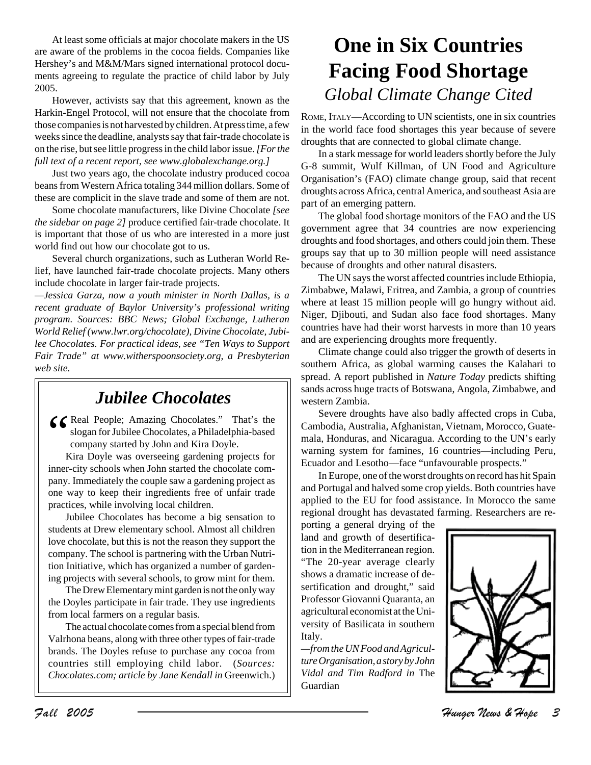At least some officials at major chocolate makers in the US are aware of the problems in the cocoa fields. Companies like Hershey's and M&M/Mars signed international protocol documents agreeing to regulate the practice of child labor by July 2005.

However, activists say that this agreement, known as the Harkin-Engel Protocol, will not ensure that the chocolate from those companies is not harvested by children. At press time, a few weeks since the deadline, analysts say that fair-trade chocolate is on the rise, but see little progress in the child labor issue. *[For the full text of a recent report, see www.globalexchange.org.]*

Just two years ago, the chocolate industry produced cocoa beans from Western Africa totaling 344 million dollars. Some of these are complicit in the slave trade and some of them are not.

Some chocolate manufacturers, like Divine Chocolate *[see the sidebar on page 2]* produce certified fair-trade chocolate. It is important that those of us who are interested in a more just world find out how our chocolate got to us.

Several church organizations, such as Lutheran World Relief, have launched fair-trade chocolate projects. Many others include chocolate in larger fair-trade projects.

*—Jessica Garza, now a youth minister in North Dallas, is a recent graduate of Baylor University's professional writing program. Sources: BBC News; Global Exchange, Lutheran World Relief (www.lwr.org/chocolate), Divine Chocolate, Jubilee Chocolates. For practical ideas, see "Ten Ways to Support Fair Trade" at www.witherspoonsociety.org, a Presbyterian web site.*

## *Jubilee Chocolates*

G Cheal People; Amazing Chocolates." That's the<br>slogan for Jubilee Chocolates, a Philadelphia-based<br>company started by John and Kira Doyle.<br>Kira Doyle was overseeing gardening projects for slogan for Jubilee Chocolates, a Philadelphia-based company started by John and Kira Doyle.

Kira Doyle was overseeing gardening projects for inner-city schools when John started the chocolate company. Immediately the couple saw a gardening project as one way to keep their ingredients free of unfair trade practices, while involving local children.

Jubilee Chocolates has become a big sensation to students at Drew elementary school. Almost all children love chocolate, but this is not the reason they support the company. The school is partnering with the Urban Nutrition Initiative, which has organized a number of gardening projects with several schools, to grow mint for them.

The Drew Elementary mint garden is not the only way the Doyles participate in fair trade. They use ingredients from local farmers on a regular basis.

The actual chocolate comes from a special blend from Valrhona beans, along with three other types of fair-trade brands. The Doyles refuse to purchase any cocoa from countries still employing child labor. (*Sources: Chocolates.com; article by Jane Kendall in* Greenwich.)

# **One in Six Countries Facing Food Shortage** *Global Climate Change Cited*

ROME, ITALY—According to UN scientists, one in six countries in the world face food shortages this year because of severe droughts that are connected to global climate change.

In a stark message for world leaders shortly before the July G-8 summit, Wulf Killman, of UN Food and Agriculture Organisation's (FAO) climate change group, said that recent droughts across Africa, central America, and southeast Asia are part of an emerging pattern.

The global food shortage monitors of the FAO and the US government agree that 34 countries are now experiencing droughts and food shortages, and others could join them. These groups say that up to 30 million people will need assistance because of droughts and other natural disasters.

The UN says the worst affected countries include Ethiopia, Zimbabwe, Malawi, Eritrea, and Zambia, a group of countries where at least 15 million people will go hungry without aid. Niger, Djibouti, and Sudan also face food shortages. Many countries have had their worst harvests in more than 10 years and are experiencing droughts more frequently.

Climate change could also trigger the growth of deserts in southern Africa, as global warming causes the Kalahari to spread. A report published in *Nature Today* predicts shifting sands across huge tracts of Botswana, Angola, Zimbabwe, and western Zambia.

Severe droughts have also badly affected crops in Cuba, Cambodia, Australia, Afghanistan, Vietnam, Morocco, Guatemala, Honduras, and Nicaragua. According to the UN's early warning system for famines, 16 countries—including Peru, Ecuador and Lesotho—face "unfavourable prospects."

In Europe, one of the worst droughts on record has hit Spain and Portugal and halved some crop yields. Both countries have applied to the EU for food assistance. In Morocco the same regional drought has devastated farming. Researchers are re-

porting a general drying of the land and growth of desertification in the Mediterranean region. "The 20-year average clearly shows a dramatic increase of desertification and drought," said Professor Giovanni Quaranta, an agricultural economist at the University of Basilicata in southern Italy.

*—from the UN Food and Agriculture Organisation, a story by John Vidal and Tim Radford in* The Guardian

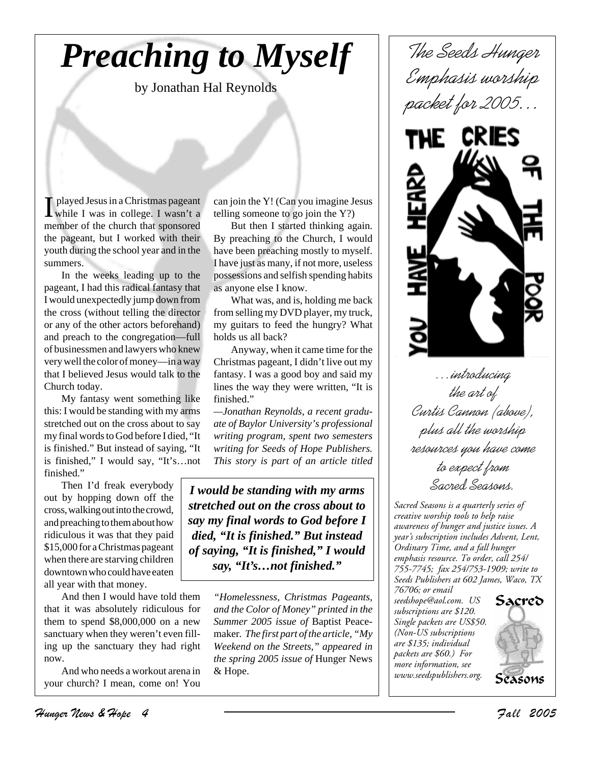# *Preaching to Myself*

by Jonathan Hal Reynolds

I played Jesus in a Christmas pageant<br>
while I was in college. I wasn't a while I was in college. I wasn't a member of the church that sponsored the pageant, but I worked with their youth during the school year and in the summers.

In the weeks leading up to the pageant, I had this radical fantasy that I would unexpectedly jump down from the cross (without telling the director or any of the other actors beforehand) and preach to the congregation—full of businessmen and lawyers who knew very well the color of money—in a way that I believed Jesus would talk to the Church today.

My fantasy went something like this: I would be standing with my arms stretched out on the cross about to say my final words to God before I died, "It is finished." But instead of saying, "It is finished," I would say, "It's…not finished."

Then I'd freak everybody out by hopping down off the cross, walking out into the crowd, and preaching to them about how ridiculous it was that they paid \$15,000 for a Christmas pageant when there are starving children downtown who could have eaten all year with that money.

And then I would have told them that it was absolutely ridiculous for them to spend \$8,000,000 on a new sanctuary when they weren't even filling up the sanctuary they had right now.

And who needs a workout arena in your church? I mean, come on! You can join the Y! (Can you imagine Jesus telling someone to go join the Y?)

But then I started thinking again. By preaching to the Church, I would have been preaching mostly to myself. I have just as many, if not more, useless possessions and selfish spending habits as anyone else I know.

What was, and is, holding me back from selling my DVD player, my truck, my guitars to feed the hungry? What holds us all back?

Anyway, when it came time for the Christmas pageant, I didn't live out my fantasy. I was a good boy and said my lines the way they were written, "It is finished."

*—Jonathan Reynolds, a recent graduate of Baylor University's professional writing program, spent two semesters writing for Seeds of Hope Publishers. This story is part of an article titled*

*I would be standing with my arms stretched out on the cross about to say my final words to God before I died, "It is finished." But instead of saying, "It is finished," I would say, "It's…not finished."*

> *"Homelessness, Christmas Pageants, and the Color of Money" printed in the Summer 2005 issue of* Baptist Peacemaker*. The first part of the article, "My Weekend on the Streets," appeared in the spring 2005 issue of* Hunger News & Hope.

*The Seeds Hunger Emphasis worship packet for 2005…*



*…introducing the art of Curtis Cannon (above), plus all the worship resources you have come to expect from Sacred Seasons.*

*Sacred Seasons is a quarterly series of creative worship tools to help raise awareness of hunger and justice issues. A year's subscription includes Advent, Lent, Ordinary Time, and a fall hunger emphasis resource. To order, call 254/ 755-7745; fax 254/753-1909; write to Seeds Publishers at 602 James, Waco, TX 76706; or email*

*seedshope@aol.com. US subscriptions are \$120. Single packets are US\$50. (Non-US subscriptions are \$135; individual packets are \$60.) For more information, see www.seedspublishers.org.*

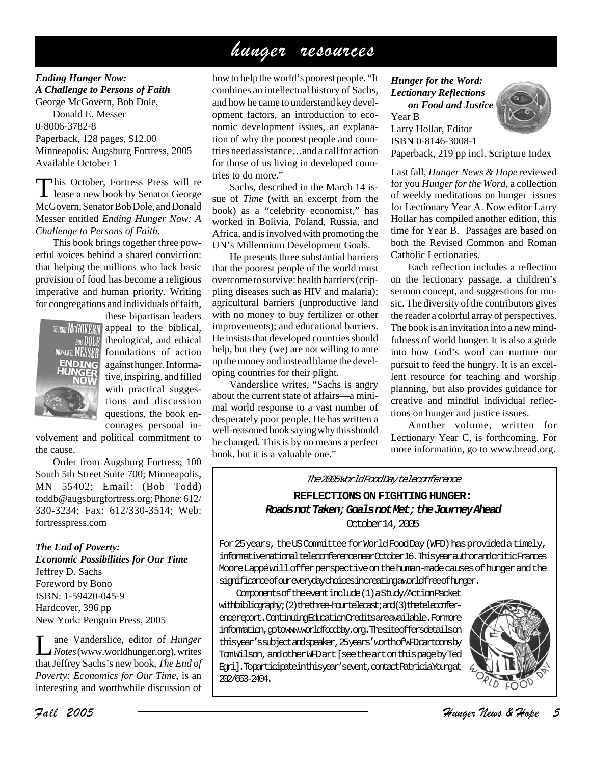## hunger resources

*Ending Hunger Now: A Challenge to Persons of Faith* George McGovern, Bob Dole, Donald E. Messer 0-8006-3782-8 Paperback, 128 pages, \$12.00 Minneapolis: Augsburg Fortress, 2005 Available October 1

This October, Fortress Press will re lease a new book by Senator George McGovern, Senator Bob Dole, and Donald Messer entitled *Ending Hunger Now: A Challenge to Persons of Faith*.

This book brings together three powerful voices behind a shared conviction: that helping the millions who lack basic provision of food has become a religious imperative and human priority. Writing for congregations and individuals of faith,



these bipartisan leaders  $GORGE$   $MCGOVERN$  appeal to the biblical,  $\overline{B00E}$  theological, and ethical DONALDE **MENSER** foundations of action against hunger. Informative, inspiring, and filled with practical suggestions and discussion questions, the book encourages personal in-

volvement and political commitment to the cause.

Order from Augsburg Fortress; 100 South 5th Street Suite 700; Minneapolis, MN 55402; Email: (Bob Todd) toddb@augsburgfortress.org; Phone: 612/ 330-3234; Fax: 612/330-3514; Web: fortresspress.com

*The End of Poverty: Economic Possibilities for Our Time* Jeffrey D. Sachs Foreword by Bono ISBN: 1-59420-045-9 Hardcover, 396 pp New York: Penguin Press, 2005

Lane Vanderslice, editor of *Hunger Notes* (www.worldhunger.org), writes that Jeffrey Sachs's new book, *The End of Poverty: Economics for Our Time*, is an interesting and worthwhile discussion of

how to help the world's poorest people. "It combines an intellectual history of Sachs, and how he came to understand key development factors, an introduction to economic development issues, an explanation of why the poorest people and countries need assistance…and a call for action for those of us living in developed countries to do more."

Sachs, described in the March 14 issue of *Time* (with an excerpt from the book) as a "celebrity economist," has worked in Bolivia, Poland, Russia, and Africa, and is involved with promoting the UN's Millennium Development Goals.

He presents three substantial barriers that the poorest people of the world must overcome to survive: health barriers (crippling diseases such as HIV and malaria); agricultural barriers (unproductive land with no money to buy fertilizer or other improvements); and educational barriers. He insists that developed countries should help, but they (we) are not willing to ante up the money and instead blame the developing countries for their plight.

Vanderslice writes, "Sachs is angry about the current state of affairs—a minimal world response to a vast number of desperately poor people. He has written a well-reasoned book saying why this should be changed. This is by no means a perfect book, but it is a valuable one."

#### *Hunger for the Word: Lectionary Reflections on Food and Justice*

Year B Larry Hollar, Editor ISBN 0-8146-3008-1 Paperback, 219 pp incl. Scripture Index

Last fall, *Hunger News & Hope* reviewed for you *Hunger for the Word,* a collection of weekly meditations on hunger issues for Lectionary Year A. Now editor Larry Hollar has compiled another edition, this time for Year B. Passages are based on both the Revised Common and Roman Catholic Lectionaries.

Each reflection includes a reflection on the lectionary passage, a children's sermon concept, and suggestions for music. The diversity of the contributors gives the reader a colorful array of perspectives. The book is an invitation into a new mindfulness of world hunger. It is also a guide into how God's word can nurture our pursuit to feed the hungry. It is an excellent resource for teaching and worship planning, but also provides guidance for creative and mindful individual reflections on hunger and justice issues.

Another volume, written for Lectionary Year C, is forthcoming. For more information, go to www.bread.org.

The 2005 World Food Day teleconference

**REFLECTIONS ON FIGHTING HUNGER: Roads not Taken; Goals not Met; the Journey Ahead** October 14, 2005

For 25 years, the US Committee for World Food Day (WFD) has provided a timely, informative national teleconference near October 16. This year author and critic Frances Moore Lappé will offer perspective on the human-made causes of hunger and the significance of our every day choices in creating a world free of hunger.

Components of the event include (1) a Study/Action Packet with bibliography; (2) the three-hourtelecast; and (3) the teleconferencereport. Continuing Education Credits are available. For more information, optowww.worldfoodday.org. The site offers details on this year's subject and speaker, 25 years' worth of WFD cartoons by Tom Wilson, and other WFD art [see the art on this page by Ted Egri]. To participate in this year's event, contact Patricia Young at 202/653-2404.

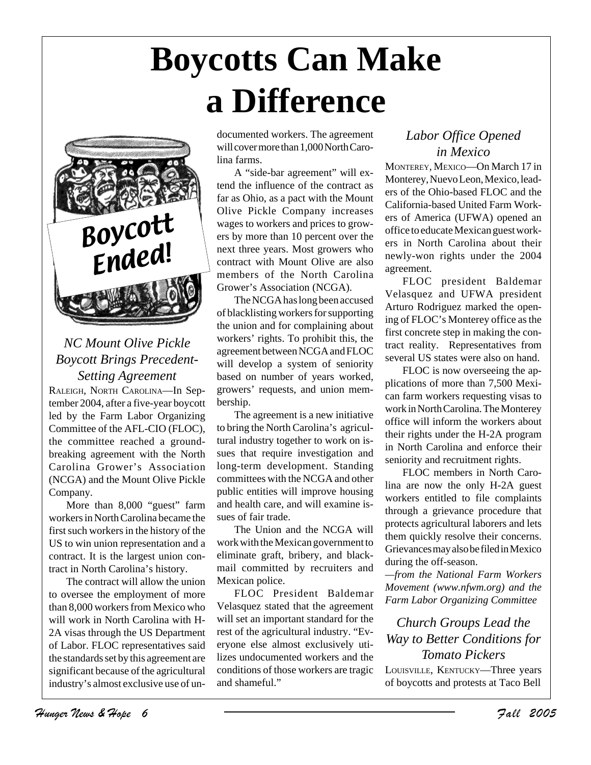# **Boycotts Can Make a Difference**



*NC Mount Olive Pickle Boycott Brings Precedent-Setting Agreement*

RALEIGH, NORTH CAROLINA—In September 2004, after a five-year boycott led by the Farm Labor Organizing Committee of the AFL-CIO (FLOC), the committee reached a groundbreaking agreement with the North Carolina Grower's Association (NCGA) and the Mount Olive Pickle Company.

More than 8,000 "guest" farm workers in North Carolina became the first such workers in the history of the US to win union representation and a contract. It is the largest union contract in North Carolina's history.

The contract will allow the union to oversee the employment of more than 8,000 workers from Mexico who will work in North Carolina with H-2A visas through the US Department of Labor. FLOC representatives said the standards set by this agreement are significant because of the agricultural industry's almost exclusive use of undocumented workers. The agreement will cover more than 1,000 North Carolina farms.

A "side-bar agreement" will extend the influence of the contract as far as Ohio, as a pact with the Mount Olive Pickle Company increases wages to workers and prices to growers by more than 10 percent over the next three years. Most growers who contract with Mount Olive are also members of the North Carolina Grower's Association (NCGA).

The NCGA has long been accused of blacklisting workers for supporting the union and for complaining about workers' rights. To prohibit this, the agreement between NCGA and FLOC will develop a system of seniority based on number of years worked, growers' requests, and union membership.

The agreement is a new initiative to bring the North Carolina's agricultural industry together to work on issues that require investigation and long-term development. Standing committees with the NCGA and other public entities will improve housing and health care, and will examine issues of fair trade.

The Union and the NCGA will work with the Mexican government to eliminate graft, bribery, and blackmail committed by recruiters and Mexican police.

FLOC President Baldemar Velasquez stated that the agreement will set an important standard for the rest of the agricultural industry. "Everyone else almost exclusively utilizes undocumented workers and the conditions of those workers are tragic and shameful."

### *Labor Office Opened in Mexico*

MONTEREY, MEXICO—On March 17 in Monterey, Nuevo Leon, Mexico, leaders of the Ohio-based FLOC and the California-based United Farm Workers of America (UFWA) opened an office to educate Mexican guest workers in North Carolina about their newly-won rights under the 2004 agreement.

FLOC president Baldemar Velasquez and UFWA president Arturo Rodriguez marked the opening of FLOC's Monterey office as the first concrete step in making the contract reality. Representatives from several US states were also on hand.

FLOC is now overseeing the applications of more than 7,500 Mexican farm workers requesting visas to work in North Carolina. The Monterey office will inform the workers about their rights under the H-2A program in North Carolina and enforce their seniority and recruitment rights.

FLOC members in North Carolina are now the only H-2A guest workers entitled to file complaints through a grievance procedure that protects agricultural laborers and lets them quickly resolve their concerns. Grievances may also be filed in Mexico during the off-season.

*—from the National Farm Workers Movement (www.nfwm.org) and the Farm Labor Organizing Committee*

*Church Groups Lead the Way to Better Conditions for Tomato Pickers* LOUISVILLE, KENTUCKY—Three years of boycotts and protests at Taco Bell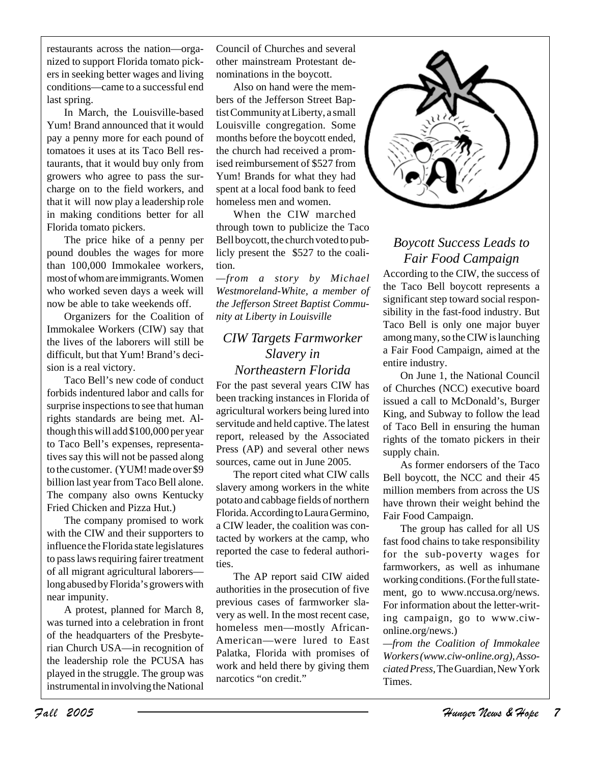restaurants across the nation—organized to support Florida tomato pickers in seeking better wages and living conditions—came to a successful end last spring.

In March, the Louisville-based Yum! Brand announced that it would pay a penny more for each pound of tomatoes it uses at its Taco Bell restaurants, that it would buy only from growers who agree to pass the surcharge on to the field workers, and that it will now play a leadership role in making conditions better for all Florida tomato pickers.

The price hike of a penny per pound doubles the wages for more than 100,000 Immokalee workers, most of whom are immigrants. Women who worked seven days a week will now be able to take weekends off.

Organizers for the Coalition of Immokalee Workers (CIW) say that the lives of the laborers will still be difficult, but that Yum! Brand's decision is a real victory.

Taco Bell's new code of conduct forbids indentured labor and calls for surprise inspections to see that human rights standards are being met. Although this will add \$100,000 per year to Taco Bell's expenses, representatives say this will not be passed along to the customer. (YUM! made over \$9 billion last year from Taco Bell alone. The company also owns Kentucky Fried Chicken and Pizza Hut.)

The company promised to work with the CIW and their supporters to influence the Florida state legislatures to pass laws requiring fairer treatment of all migrant agricultural laborers long abused by Florida's growers with near impunity.

A protest, planned for March 8, was turned into a celebration in front of the headquarters of the Presbyterian Church USA—in recognition of the leadership role the PCUSA has played in the struggle. The group was instrumental in involving the National Council of Churches and several other mainstream Protestant denominations in the boycott.

Also on hand were the members of the Jefferson Street Baptist Community at Liberty, a small Louisville congregation. Some months before the boycott ended, the church had received a promised reimbursement of \$527 from Yum! Brands for what they had spent at a local food bank to feed homeless men and women.

When the CIW marched through town to publicize the Taco Bell boycott, the church voted to publicly present the \$527 to the coalition.

*—from a story by Michael Westmoreland-White, a member of the Jefferson Street Baptist Community at Liberty in Louisville*

### *CIW Targets Farmworker Slavery in Northeastern Florida*

For the past several years CIW has been tracking instances in Florida of agricultural workers being lured into servitude and held captive. The latest report, released by the Associated Press (AP) and several other news sources, came out in June 2005.

The report cited what CIW calls slavery among workers in the white potato and cabbage fields of northern Florida. According to Laura Germino, a CIW leader, the coalition was contacted by workers at the camp, who reported the case to federal authorities.

The AP report said CIW aided authorities in the prosecution of five previous cases of farmworker slavery as well. In the most recent case, homeless men—mostly African-American—were lured to East Palatka, Florida with promises of work and held there by giving them narcotics "on credit."



## *Boycott Success Leads to Fair Food Campaign*

According to the CIW, the success of the Taco Bell boycott represents a significant step toward social responsibility in the fast-food industry. But Taco Bell is only one major buyer among many, so the CIW is launching a Fair Food Campaign, aimed at the entire industry.

On June 1, the National Council of Churches (NCC) executive board issued a call to McDonald's, Burger King, and Subway to follow the lead of Taco Bell in ensuring the human rights of the tomato pickers in their supply chain.

As former endorsers of the Taco Bell boycott, the NCC and their 45 million members from across the US have thrown their weight behind the Fair Food Campaign.

The group has called for all US fast food chains to take responsibility for the sub-poverty wages for farmworkers, as well as inhumane working conditions. (For the full statement, go to www.nccusa.org/news. For information about the letter-writing campaign, go to www.ciwonline.org/news.)

*—from the Coalition of Immokalee Workers (www.ciw-online.org), Associated Press,* The Guardian, New York Times.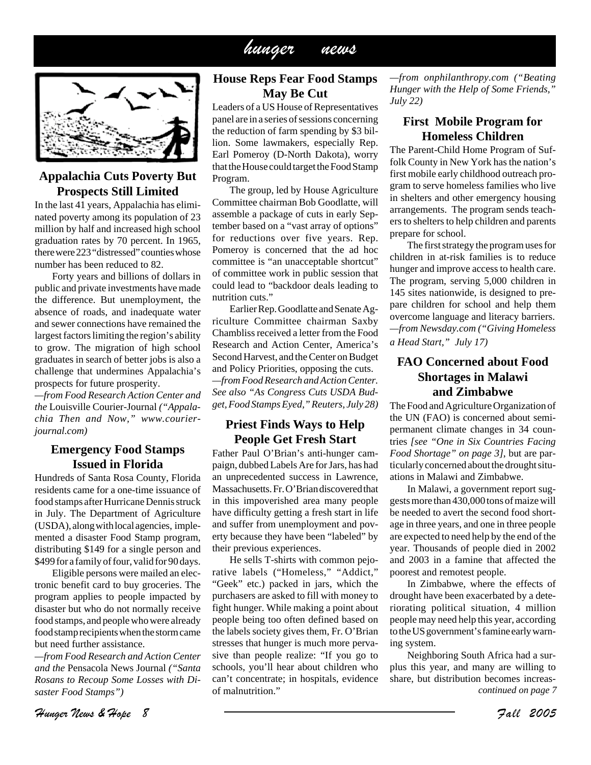## hunger news



#### **Appalachia Cuts Poverty But Prospects Still Limited**

In the last 41 years, Appalachia has eliminated poverty among its population of 23 million by half and increased high school graduation rates by 70 percent. In 1965, there were 223 "distressed" counties whose number has been reduced to 82.

Forty years and billions of dollars in public and private investments have made the difference. But unemployment, the absence of roads, and inadequate water and sewer connections have remained the largest factors limiting the region's ability to grow. The migration of high school graduates in search of better jobs is also a challenge that undermines Appalachia's prospects for future prosperity.

*—from Food Research Action Center and the* Louisville Courier-Journal *("Appalachia Then and Now," www.courierjournal.com)*

#### **Emergency Food Stamps Issued in Florida**

Hundreds of Santa Rosa County, Florida residents came for a one-time issuance of food stamps after Hurricane Dennis struck in July. The Department of Agriculture (USDA), along with local agencies, implemented a disaster Food Stamp program, distributing \$149 for a single person and \$499 for a family of four, valid for 90 days.

Eligible persons were mailed an electronic benefit card to buy groceries. The program applies to people impacted by disaster but who do not normally receive food stamps, and people who were already food stamp recipients when the storm came but need further assistance.

*—from Food Research and Action Center and the* Pensacola News Journal *("Santa Rosans to Recoup Some Losses with Disaster Food Stamps")*

### **House Reps Fear Food Stamps May Be Cut**

Leaders of a US House of Representatives panel are in a series of sessions concerning the reduction of farm spending by \$3 billion. Some lawmakers, especially Rep. Earl Pomeroy (D-North Dakota), worry that the House could target the Food Stamp Program.

The group, led by House Agriculture Committee chairman Bob Goodlatte, will assemble a package of cuts in early September based on a "vast array of options" for reductions over five years. Rep. Pomeroy is concerned that the ad hoc committee is "an unacceptable shortcut" of committee work in public session that could lead to "backdoor deals leading to nutrition cuts."

Earlier Rep. Goodlatte and Senate Agriculture Committee chairman Saxby Chambliss received a letter from the Food Research and Action Center, America's Second Harvest, and the Center on Budget and Policy Priorities, opposing the cuts. *—from Food Research and Action Center. See also "As Congress Cuts USDA Budget, Food Stamps Eyed," Reuters, July 28)*

#### **Priest Finds Ways to Help People Get Fresh Start**

Father Paul O'Brian's anti-hunger campaign, dubbed Labels Are for Jars, has had an unprecedented success in Lawrence, Massachusetts. Fr. O'Brian discovered that in this impoverished area many people have difficulty getting a fresh start in life and suffer from unemployment and poverty because they have been "labeled" by their previous experiences.

He sells T-shirts with common pejorative labels ("Homeless," "Addict," "Geek" etc.) packed in jars, which the purchasers are asked to fill with money to fight hunger. While making a point about people being too often defined based on the labels society gives them, Fr. O'Brian stresses that hunger is much more pervasive than people realize: "If you go to schools, you'll hear about children who can't concentrate; in hospitals, evidence of malnutrition."

*—from onphilanthropy.com ("Beating Hunger with the Help of Some Friends," July 22)*

#### **First Mobile Program for Homeless Children**

The Parent-Child Home Program of Suffolk County in New York has the nation's first mobile early childhood outreach program to serve homeless families who live in shelters and other emergency housing arrangements. The program sends teachers to shelters to help children and parents prepare for school.

The first strategy the program uses for children in at-risk families is to reduce hunger and improve access to health care. The program, serving 5,000 children in 145 sites nationwide, is designed to prepare children for school and help them overcome language and literacy barriers. *—from Newsday.com ("Giving Homeless a Head Start," July 17)*

### **FAO Concerned about Food Shortages in Malawi and Zimbabwe**

The Food and Agriculture Organization of the UN (FAO) is concerned about semipermanent climate changes in 34 countries *[see "One in Six Countries Facing Food Shortage" on page 3]*, but are particularly concerned about the drought situations in Malawi and Zimbabwe.

In Malawi, a government report suggests more than 430,000 tons of maize will be needed to avert the second food shortage in three years, and one in three people are expected to need help by the end of the year. Thousands of people died in 2002 and 2003 in a famine that affected the poorest and remotest people.

In Zimbabwe, where the effects of drought have been exacerbated by a deteriorating political situation, 4 million people may need help this year, according to the US government's famine early warning system.

Neighboring South Africa had a surplus this year, and many are willing to share, but distribution becomes increas*continued on page 7*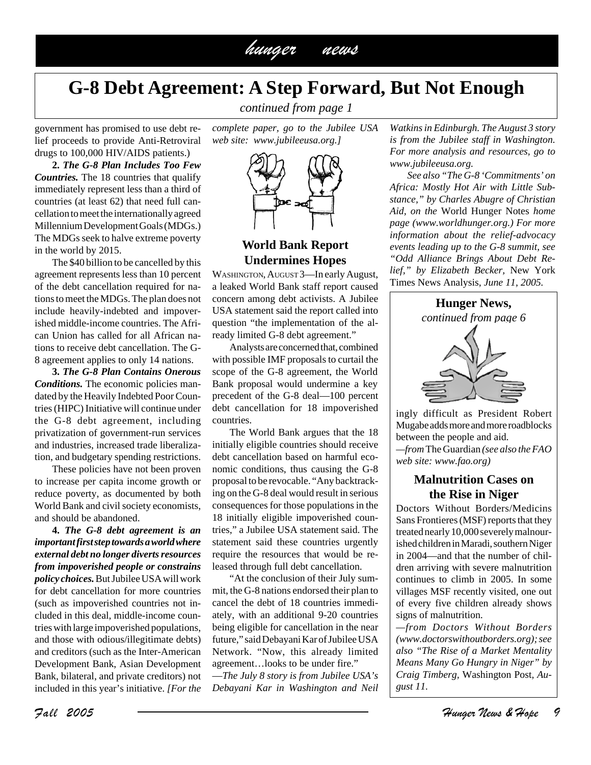

## **G-8 Debt Agreement: A Step Forward, But Not Enough**

*continued from page 1*

government has promised to use debt relief proceeds to provide Anti-Retroviral drugs to 100,000 HIV/AIDS patients.)

**2.** *The G-8 Plan Includes Too Few Countries.* The 18 countries that qualify immediately represent less than a third of countries (at least 62) that need full cancellation to meet the internationally agreed Millennium Development Goals (MDGs.) The MDGs seek to halve extreme poverty in the world by 2015.

The \$40 billion to be cancelled by this agreement represents less than 10 percent of the debt cancellation required for nations to meet the MDGs. The plan does not include heavily-indebted and impoverished middle-income countries. The African Union has called for all African nations to receive debt cancellation. The G-8 agreement applies to only 14 nations.

**3.** *The G-8 Plan Contains Onerous Conditions.* The economic policies mandated by the Heavily Indebted Poor Countries (HIPC) Initiative will continue under the G-8 debt agreement, including privatization of government-run services and industries, increased trade liberalization, and budgetary spending restrictions.

These policies have not been proven to increase per capita income growth or reduce poverty, as documented by both World Bank and civil society economists, and should be abandoned.

**4.** *The G-8 debt agreement is an important first step towards a world where external debt no longer diverts resources from impoverished people or constrains policy choices.* But Jubilee USA will work for debt cancellation for more countries (such as impoverished countries not included in this deal, middle-income countries with large impoverished populations, and those with odious/illegitimate debts) and creditors (such as the Inter-American Development Bank, Asian Development Bank, bilateral, and private creditors) not included in this year's initiative. *[For the* *complete paper, go to the Jubilee USA web site: www.jubileeusa.org.]*



#### **World Bank Report Undermines Hopes**

WASHINGTON, AUGUST 3-In early August, a leaked World Bank staff report caused concern among debt activists. A Jubilee USA statement said the report called into question "the implementation of the already limited G-8 debt agreement."

Analysts are concerned that, combined with possible IMF proposals to curtail the scope of the G-8 agreement, the World Bank proposal would undermine a key precedent of the G-8 deal—100 percent debt cancellation for 18 impoverished countries.

The World Bank argues that the 18 initially eligible countries should receive debt cancellation based on harmful economic conditions, thus causing the G-8 proposal to be revocable. "Any backtracking on the G-8 deal would result in serious consequences for those populations in the 18 initially eligible impoverished countries," a Jubilee USA statement said. The statement said these countries urgently require the resources that would be released through full debt cancellation.

"At the conclusion of their July summit, the G-8 nations endorsed their plan to cancel the debt of 18 countries immediately, with an additional 9-20 countries being eligible for cancellation in the near future," said Debayani Kar of Jubilee USA Network. "Now, this already limited agreement…looks to be under fire." —*The July 8 story is from Jubilee USA's Debayani Kar in Washington and Neil*

*Watkins in Edinburgh. The August 3 story is from the Jubilee staff in Washington. For more analysis and resources, go to www.jubileeusa.org.*

*See also "The G-8 'Commitments' on Africa: Mostly Hot Air with Little Substance," by Charles Abugre of Christian Aid, on the* World Hunger Notes *home page (www.worldhunger.org.) For more information about the relief-advocacy events leading up to the G-8 summit, see "Odd Alliance Brings About Debt Relief," by Elizabeth Becker,* New York Times News Analysis, *June 11, 2005.*



ingly difficult as President Robert Mugabe adds more and more roadblocks between the people and aid. *—from* The Guardian *(see also the FAO web site: www.fao.org)*

#### **Malnutrition Cases on the Rise in Niger**

Doctors Without Borders/Medicins Sans Frontieres (MSF) reports that they treated nearly 10,000 severely malnourished children in Maradi, southern Niger in 2004—and that the number of children arriving with severe malnutrition continues to climb in 2005. In some villages MSF recently visited, one out of every five children already shows signs of malnutrition.

*—from Doctors Without Borders (www.doctorswithoutborders.org); see also "The Rise of a Market Mentality Means Many Go Hungry in Niger" by Craig Timberg,* Washington Post*, August 11.*